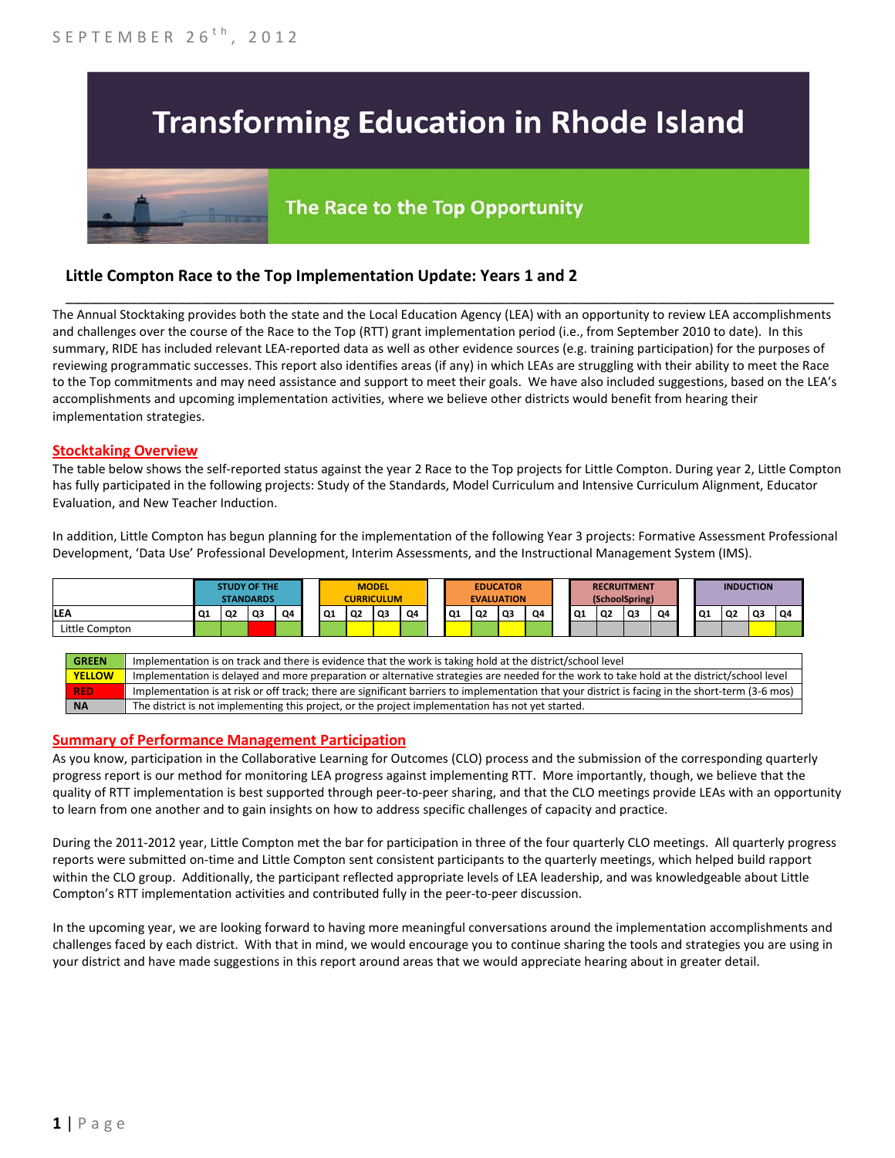# **Transforming Education in Rhode Island**

# The Race to the Top Opportunity

## **Little Compton Race to the Top Implementation Update: Years 1 and 2**

The Annual Stocktaking provides both the state and the Local Education Agency (LEA) with an opportunity to review LEA accomplishments and challenges over the course of the Race to the Top (RTT) grant implementation period (i.e., from September 2010 to date). In this summary, RIDE has included relevant LEA-reported data as well as other evidence sources (e.g. training participation) for the purposes of reviewing programmatic successes. This report also identifies areas (if any) in which LEAs are struggling with their ability to meet the Race to the Top commitments and may need assistance and support to meet their goals. We have also included suggestions, based on the LEA's accomplishments and upcoming implementation activities, where we believe other districts would benefit from hearing their implementation strategies.

\_\_\_\_\_\_\_\_\_\_\_\_\_\_\_\_\_\_\_\_\_\_\_\_\_\_\_\_\_\_\_\_\_\_\_\_\_\_\_\_\_\_\_\_\_\_\_\_\_\_\_\_\_\_\_\_\_\_\_\_\_\_\_\_\_\_\_\_\_\_\_\_\_\_\_\_\_\_\_\_\_\_\_\_\_\_\_\_\_\_\_\_\_\_\_\_

#### **Stocktaking Overview**

The table below shows the self-reported status against the year 2 Race to the Top projects for Little Compton. During year 2, Little Compton has fully participated in the following projects: Study of the Standards, Model Curriculum and Intensive Curriculum Alignment, Educator Evaluation, and New Teacher Induction.

In addition, Little Compton has begun planning for the implementation of the following Year 3 projects: Formative Assessment Professional Development, 'Data Use' Professional Development, Interim Assessments, and the Instructional Management System (IMS).



#### **Summary of Performance Management Participation**

As you know, participation in the Collaborative Learning for Outcomes (CLO) process and the submission of the corresponding quarterly progress report is our method for monitoring LEA progress against implementing RTT. More importantly, though, we believe that the quality of RTT implementation is best supported through peer-to-peer sharing, and that the CLO meetings provide LEAs with an opportunity to learn from one another and to gain insights on how to address specific challenges of capacity and practice.

During the 2011-2012 year, Little Compton met the bar for participation in three of the four quarterly CLO meetings. All quarterly progress reports were submitted on-time and Little Compton sent consistent participants to the quarterly meetings, which helped build rapport within the CLO group. Additionally, the participant reflected appropriate levels of LEA leadership, and was knowledgeable about Little Compton's RTT implementation activities and contributed fully in the peer-to-peer discussion.

In the upcoming year, we are looking forward to having more meaningful conversations around the implementation accomplishments and challenges faced by each district. With that in mind, we would encourage you to continue sharing the tools and strategies you are using in your district and have made suggestions in this report around areas that we would appreciate hearing about in greater detail.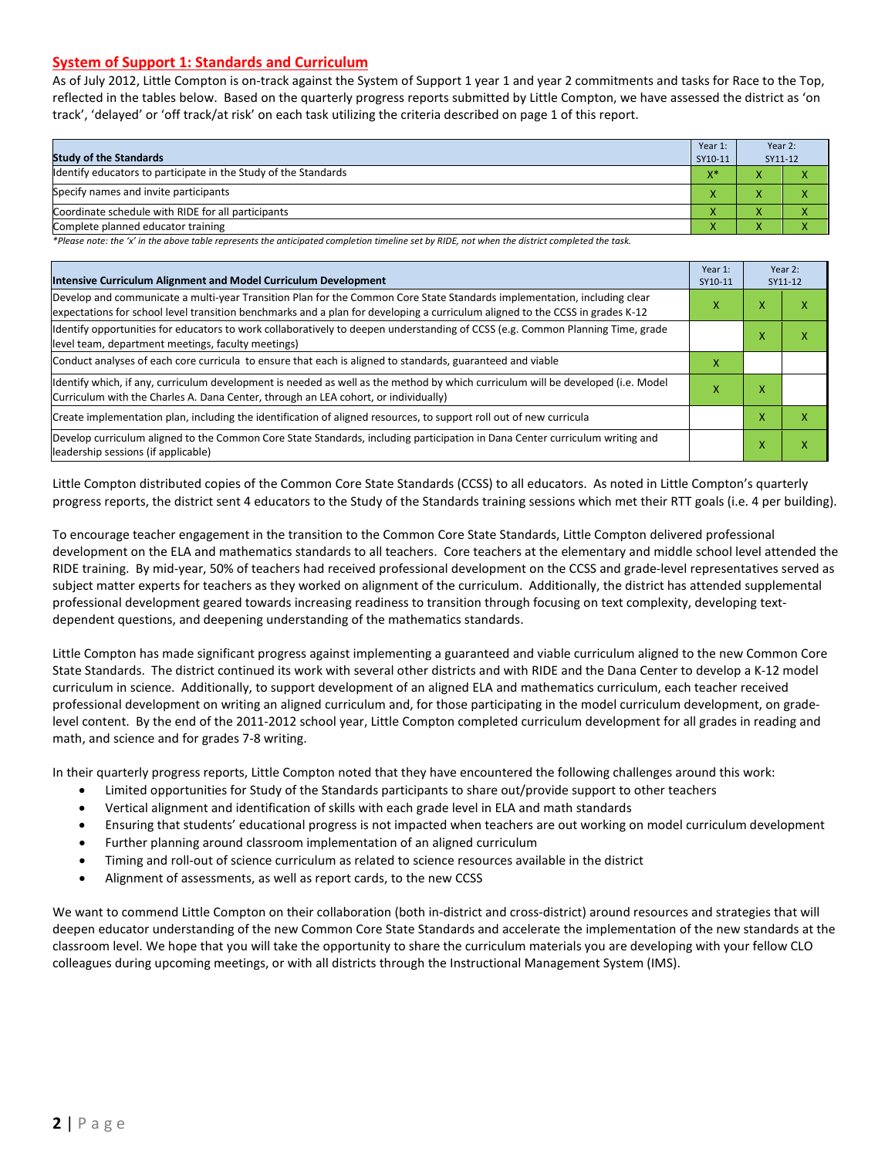#### **System of Support 1: Standards and Curriculum**

As of July 2012, Little Compton is on-track against the System of Support 1 year 1 and year 2 commitments and tasks for Race to the Top, reflected in the tables below. Based on the quarterly progress reports submitted by Little Compton, we have assessed the district as 'on track', 'delayed' or 'off track/at risk' on each task utilizing the criteria described on page 1 of this report.

| <b>Study of the Standards</b>                                   | Year 1:<br>SY10-11 | Year 2:<br>SY11-12 |  |
|-----------------------------------------------------------------|--------------------|--------------------|--|
| Identify educators to participate in the Study of the Standards | $X^*$              |                    |  |
| Specify names and invite participants                           |                    |                    |  |
| Coordinate schedule with RIDE for all participants              |                    | $\mathbf{\Lambda}$ |  |
| Complete planned educator training                              |                    |                    |  |

*\*Please note: the 'x' in the above table represents the anticipated completion timeline set by RIDE, not when the district completed the task.*

| Intensive Curriculum Alignment and Model Curriculum Development                                                                                                                                                                                           |   |   | Year 2:<br>SY11-12 |  |
|-----------------------------------------------------------------------------------------------------------------------------------------------------------------------------------------------------------------------------------------------------------|---|---|--------------------|--|
| Develop and communicate a multi-year Transition Plan for the Common Core State Standards implementation, including clear<br>expectations for school level transition benchmarks and a plan for developing a curriculum aligned to the CCSS in grades K-12 |   |   | ↗                  |  |
| Identify opportunities for educators to work collaboratively to deepen understanding of CCSS (e.g. Common Planning Time, grade<br>level team, department meetings, faculty meetings)                                                                      |   | x | ⋏                  |  |
| Conduct analyses of each core curricula to ensure that each is aligned to standards, guaranteed and viable                                                                                                                                                | x |   |                    |  |
| ldentify which, if any, curriculum development is needed as well as the method by which curriculum will be developed (i.e. Model<br>Curriculum with the Charles A. Dana Center, through an LEA cohort, or individually)                                   |   | x |                    |  |
| Create implementation plan, including the identification of aligned resources, to support roll out of new curricula                                                                                                                                       |   | х | χ                  |  |
| Develop curriculum aligned to the Common Core State Standards, including participation in Dana Center curriculum writing and<br>leadership sessions (if applicable)                                                                                       |   | x | x                  |  |

Little Compton distributed copies of the Common Core State Standards (CCSS) to all educators. As noted in Little Compton's quarterly progress reports, the district sent 4 educators to the Study of the Standards training sessions which met their RTT goals (i.e. 4 per building).

To encourage teacher engagement in the transition to the Common Core State Standards, Little Compton delivered professional development on the ELA and mathematics standards to all teachers. Core teachers at the elementary and middle school level attended the RIDE training. By mid-year, 50% of teachers had received professional development on the CCSS and grade-level representatives served as subject matter experts for teachers as they worked on alignment of the curriculum. Additionally, the district has attended supplemental professional development geared towards increasing readiness to transition through focusing on text complexity, developing textdependent questions, and deepening understanding of the mathematics standards.

Little Compton has made significant progress against implementing a guaranteed and viable curriculum aligned to the new Common Core State Standards. The district continued its work with several other districts and with RIDE and the Dana Center to develop a K-12 model curriculum in science. Additionally, to support development of an aligned ELA and mathematics curriculum, each teacher received professional development on writing an aligned curriculum and, for those participating in the model curriculum development, on gradelevel content. By the end of the 2011-2012 school year, Little Compton completed curriculum development for all grades in reading and math, and science and for grades 7-8 writing.

In their quarterly progress reports, Little Compton noted that they have encountered the following challenges around this work:

- Limited opportunities for Study of the Standards participants to share out/provide support to other teachers
- Vertical alignment and identification of skills with each grade level in ELA and math standards
- Ensuring that students' educational progress is not impacted when teachers are out working on model curriculum development
- Further planning around classroom implementation of an aligned curriculum
- Timing and roll-out of science curriculum as related to science resources available in the district
- Alignment of assessments, as well as report cards, to the new CCSS

We want to commend Little Compton on their collaboration (both in-district and cross-district) around resources and strategies that will deepen educator understanding of the new Common Core State Standards and accelerate the implementation of the new standards at the classroom level. We hope that you will take the opportunity to share the curriculum materials you are developing with your fellow CLO colleagues during upcoming meetings, or with all districts through the Instructional Management System (IMS).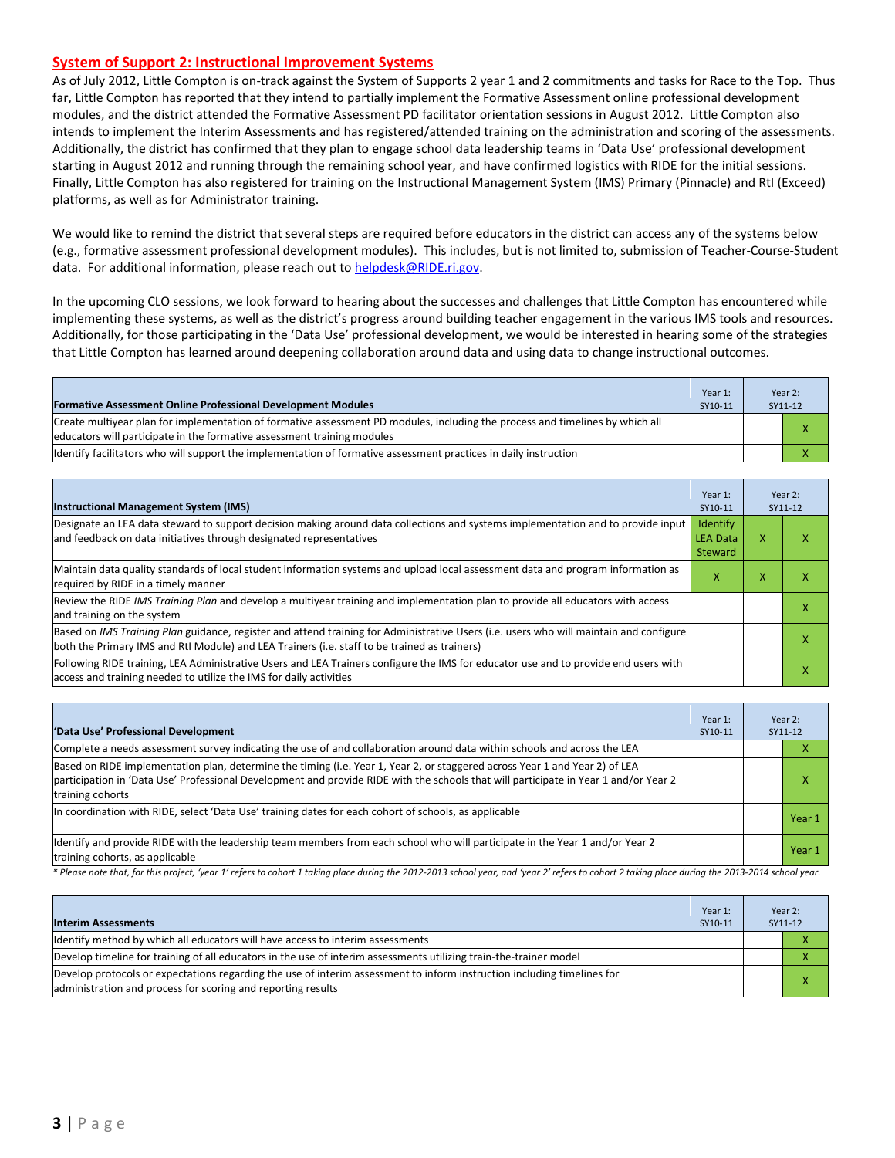#### **System of Support 2: Instructional Improvement Systems**

As of July 2012, Little Compton is on-track against the System of Supports 2 year 1 and 2 commitments and tasks for Race to the Top. Thus far, Little Compton has reported that they intend to partially implement the Formative Assessment online professional development modules, and the district attended the Formative Assessment PD facilitator orientation sessions in August 2012. Little Compton also intends to implement the Interim Assessments and has registered/attended training on the administration and scoring of the assessments. Additionally, the district has confirmed that they plan to engage school data leadership teams in 'Data Use' professional development starting in August 2012 and running through the remaining school year, and have confirmed logistics with RIDE for the initial sessions. Finally, Little Compton has also registered for training on the Instructional Management System (IMS) Primary (Pinnacle) and RtI (Exceed) platforms, as well as for Administrator training.

We would like to remind the district that several steps are required before educators in the district can access any of the systems below (e.g., formative assessment professional development modules). This includes, but is not limited to, submission of Teacher-Course-Student data. For additional information, please reach out t[o helpdesk@RIDE.ri.gov.](mailto:helpdesk@RIDE.ri.gov)

In the upcoming CLO sessions, we look forward to hearing about the successes and challenges that Little Compton has encountered while implementing these systems, as well as the district's progress around building teacher engagement in the various IMS tools and resources. Additionally, for those participating in the 'Data Use' professional development, we would be interested in hearing some of the strategies that Little Compton has learned around deepening collaboration around data and using data to change instructional outcomes.

| <b>Formative Assessment Online Professional Development Modules</b>                                                                                                                                      | Year 1:<br>SY10-11 | Year 2:<br>SY11-12 |
|----------------------------------------------------------------------------------------------------------------------------------------------------------------------------------------------------------|--------------------|--------------------|
| Create multiyear plan for implementation of formative assessment PD modules, including the process and timelines by which all<br>educators will participate in the formative assessment training modules |                    |                    |
| Identify facilitators who will support the implementation of formative assessment practices in daily instruction                                                                                         |                    |                    |

| <b>Instructional Management System (IMS)</b>                                                                                                                                                                                           | Year 1:<br>SY10-11                     |   | Year 2:<br>SY11-12 |
|----------------------------------------------------------------------------------------------------------------------------------------------------------------------------------------------------------------------------------------|----------------------------------------|---|--------------------|
| Designate an LEA data steward to support decision making around data collections and systems implementation and to provide input<br>and feedback on data initiatives through designated representatives                                | Identify<br><b>LEA Data</b><br>Steward | x |                    |
| Maintain data quality standards of local student information systems and upload local assessment data and program information as<br>required by RIDE in a timely manner                                                                | x                                      | x |                    |
| Review the RIDE IMS Training Plan and develop a multiyear training and implementation plan to provide all educators with access<br>and training on the system                                                                          |                                        |   |                    |
| Based on IMS Training Plan guidance, register and attend training for Administrative Users (i.e. users who will maintain and configure<br>both the Primary IMS and RtI Module) and LEA Trainers (i.e. staff to be trained as trainers) |                                        |   |                    |
| Following RIDE training, LEA Administrative Users and LEA Trainers configure the IMS for educator use and to provide end users with<br>access and training needed to utilize the IMS for daily activities                              |                                        |   | х                  |

| 'Data Use' Professional Development                                                                                                                                                                                                                                                     | Year 1:<br>SY10-11 | Year 2:<br>SY11-12 |
|-----------------------------------------------------------------------------------------------------------------------------------------------------------------------------------------------------------------------------------------------------------------------------------------|--------------------|--------------------|
| Complete a needs assessment survey indicating the use of and collaboration around data within schools and across the LEA                                                                                                                                                                |                    | v                  |
| Based on RIDE implementation plan, determine the timing (i.e. Year 1, Year 2, or staggered across Year 1 and Year 2) of LEA<br>participation in 'Data Use' Professional Development and provide RIDE with the schools that will participate in Year 1 and/or Year 2<br>training cohorts |                    | x                  |
| In coordination with RIDE, select 'Data Use' training dates for each cohort of schools, as applicable                                                                                                                                                                                   |                    | Year 1             |
| Ildentify and provide RIDE with the leadership team members from each school who will participate in the Year 1 and/or Year 2<br>training cohorts, as applicable                                                                                                                        |                    | Year 1             |

*\* Please note that, for this project, 'year 1' refers to cohort 1 taking place during the 2012-2013 school year, and 'year 2' refers to cohort 2 taking place during the 2013-2014 school year.*

| <b>Interim Assessments</b>                                                                                                                                                              | Year 1:<br>SY10-11 | Year 2:<br>SY11-12 |
|-----------------------------------------------------------------------------------------------------------------------------------------------------------------------------------------|--------------------|--------------------|
| Identify method by which all educators will have access to interim assessments                                                                                                          |                    |                    |
| Develop timeline for training of all educators in the use of interim assessments utilizing train-the-trainer model                                                                      |                    |                    |
| Develop protocols or expectations regarding the use of interim assessment to inform instruction including timelines for<br>administration and process for scoring and reporting results |                    | x                  |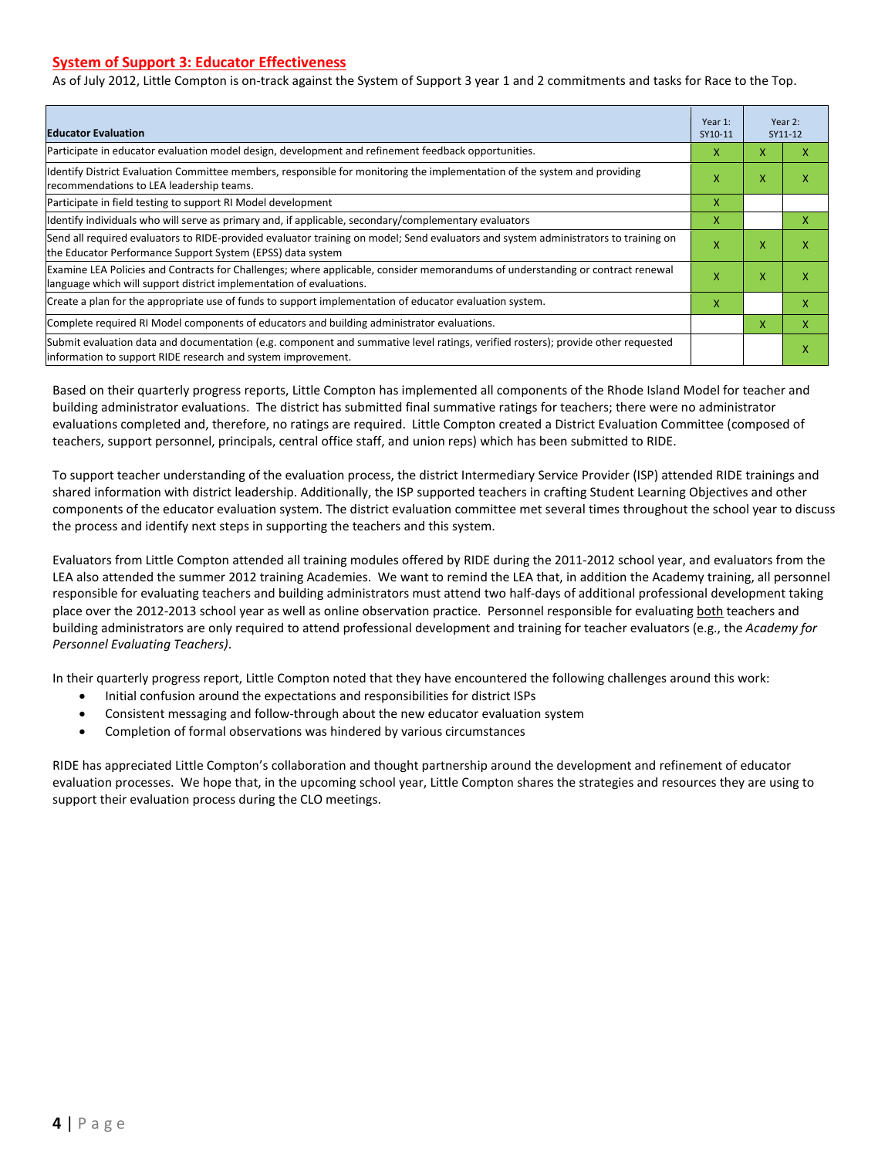#### **System of Support 3: Educator Effectiveness**

As of July 2012, Little Compton is on-track against the System of Support 3 year 1 and 2 commitments and tasks for Race to the Top.

| <b>Educator Evaluation</b>                                                                                                                                                                            |   |   | Year 2:<br>SY11-12 |  |
|-------------------------------------------------------------------------------------------------------------------------------------------------------------------------------------------------------|---|---|--------------------|--|
| Participate in educator evaluation model design, development and refinement feedback opportunities.                                                                                                   | х | X | x                  |  |
| Identify District Evaluation Committee members, responsible for monitoring the implementation of the system and providing<br>recommendations to LEA leadership teams.                                 | x | X | x                  |  |
| Participate in field testing to support RI Model development                                                                                                                                          | x |   |                    |  |
| Identify individuals who will serve as primary and, if applicable, secondary/complementary evaluators                                                                                                 | x |   | x                  |  |
| Send all required evaluators to RIDE-provided evaluator training on model; Send evaluators and system administrators to training on<br>the Educator Performance Support System (EPSS) data system     | X | X | X                  |  |
| Examine LEA Policies and Contracts for Challenges; where applicable, consider memorandums of understanding or contract renewal<br>language which will support district implementation of evaluations. |   | X | x                  |  |
| Create a plan for the appropriate use of funds to support implementation of educator evaluation system.                                                                                               |   |   | x                  |  |
| Complete required RI Model components of educators and building administrator evaluations.                                                                                                            |   |   | X                  |  |
| Submit evaluation data and documentation (e.g. component and summative level ratings, verified rosters); provide other requested<br>information to support RIDE research and system improvement.      |   |   | x                  |  |

Based on their quarterly progress reports, Little Compton has implemented all components of the Rhode Island Model for teacher and building administrator evaluations. The district has submitted final summative ratings for teachers; there were no administrator evaluations completed and, therefore, no ratings are required. Little Compton created a District Evaluation Committee (composed of teachers, support personnel, principals, central office staff, and union reps) which has been submitted to RIDE.

To support teacher understanding of the evaluation process, the district Intermediary Service Provider (ISP) attended RIDE trainings and shared information with district leadership. Additionally, the ISP supported teachers in crafting Student Learning Objectives and other components of the educator evaluation system. The district evaluation committee met several times throughout the school year to discuss the process and identify next steps in supporting the teachers and this system.

Evaluators from Little Compton attended all training modules offered by RIDE during the 2011-2012 school year, and evaluators from the LEA also attended the summer 2012 training Academies. We want to remind the LEA that, in addition the Academy training, all personnel responsible for evaluating teachers and building administrators must attend two half-days of additional professional development taking place over the 2012-2013 school year as well as online observation practice. Personnel responsible for evaluating both teachers and building administrators are only required to attend professional development and training for teacher evaluators (e.g., the *Academy for Personnel Evaluating Teachers)*.

In their quarterly progress report, Little Compton noted that they have encountered the following challenges around this work:

- Initial confusion around the expectations and responsibilities for district ISPs
- Consistent messaging and follow-through about the new educator evaluation system
- Completion of formal observations was hindered by various circumstances

RIDE has appreciated Little Compton's collaboration and thought partnership around the development and refinement of educator evaluation processes. We hope that, in the upcoming school year, Little Compton shares the strategies and resources they are using to support their evaluation process during the CLO meetings.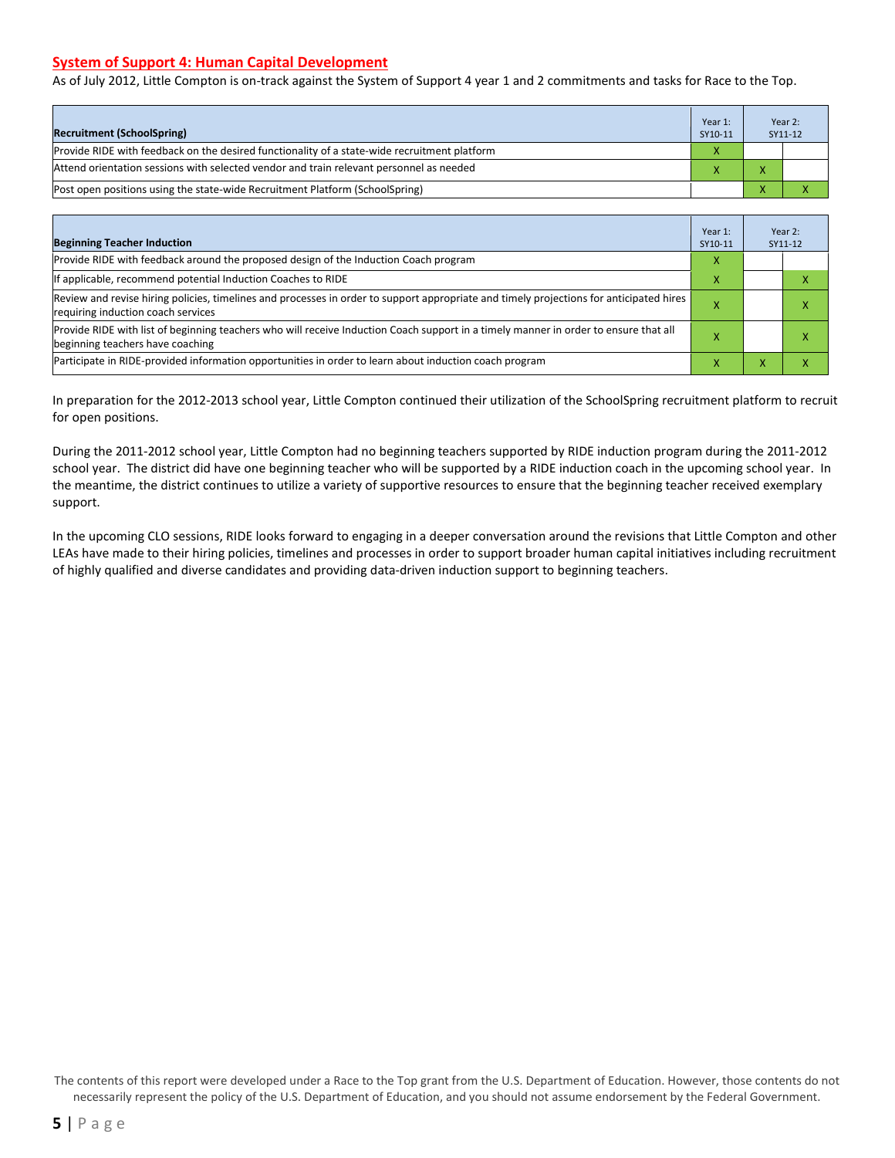#### **System of Support 4: Human Capital Development**

As of July 2012, Little Compton is on-track against the System of Support 4 year 1 and 2 commitments and tasks for Race to the Top.

| <b>Recruitment (SchoolSpring)</b>                                                            | Year 1:<br>SY10-11 | Year 2:<br>SY11-12 |
|----------------------------------------------------------------------------------------------|--------------------|--------------------|
| Provide RIDE with feedback on the desired functionality of a state-wide recruitment platform | X                  |                    |
| Attend orientation sessions with selected vendor and train relevant personnel as needed      |                    |                    |
| (Post open positions using the state-wide Recruitment Platform (SchoolSpring)                |                    |                    |

| <b>Beginning Teacher Induction</b>                                                                                                                                            | Year 1:<br>SY10-11 | Year 2:<br>SY11-12 |
|-------------------------------------------------------------------------------------------------------------------------------------------------------------------------------|--------------------|--------------------|
| Provide RIDE with feedback around the proposed design of the Induction Coach program                                                                                          | x                  |                    |
| If applicable, recommend potential Induction Coaches to RIDE                                                                                                                  | x                  |                    |
| Review and revise hiring policies, timelines and processes in order to support appropriate and timely projections for anticipated hires<br>requiring induction coach services |                    |                    |
| Provide RIDE with list of beginning teachers who will receive Induction Coach support in a timely manner in order to ensure that all<br>beginning teachers have coaching      |                    |                    |
| Participate in RIDE-provided information opportunities in order to learn about induction coach program                                                                        | x                  |                    |

In preparation for the 2012-2013 school year, Little Compton continued their utilization of the SchoolSpring recruitment platform to recruit for open positions.

During the 2011-2012 school year, Little Compton had no beginning teachers supported by RIDE induction program during the 2011-2012 school year. The district did have one beginning teacher who will be supported by a RIDE induction coach in the upcoming school year. In the meantime, the district continues to utilize a variety of supportive resources to ensure that the beginning teacher received exemplary support.

In the upcoming CLO sessions, RIDE looks forward to engaging in a deeper conversation around the revisions that Little Compton and other LEAs have made to their hiring policies, timelines and processes in order to support broader human capital initiatives including recruitment of highly qualified and diverse candidates and providing data-driven induction support to beginning teachers.

The contents of this report were developed under a Race to the Top grant from the U.S. Department of Education. However, those contents do not necessarily represent the policy of the U.S. Department of Education, and you should not assume endorsement by the Federal Government.